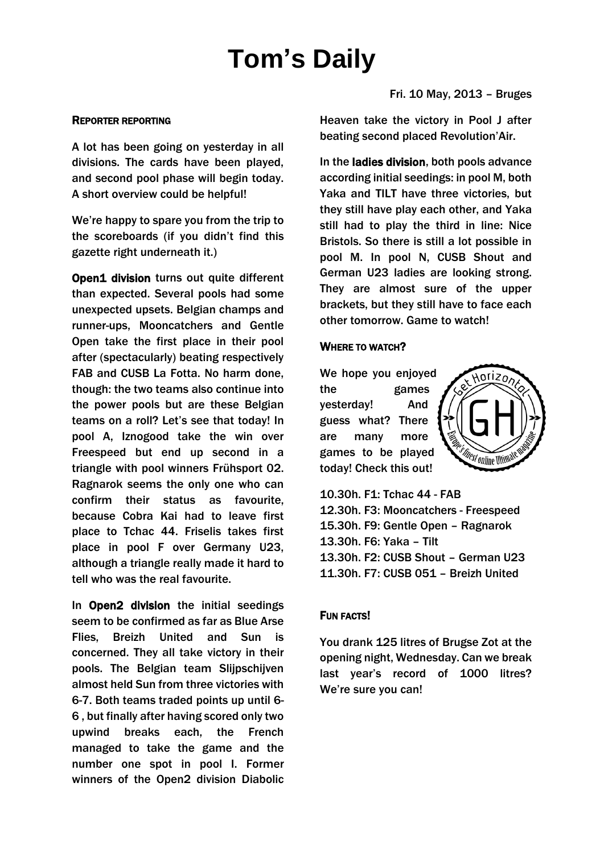# **Tom's Daily**

#### REPORTER REPORTING

A lot has been going on yesterday in all divisions. The cards have been played, and second pool phase will begin today. A short overview could be helpful!

We're happy to spare you from the trip to the scoreboards (if you didn't find this gazette right underneath it.)

**Open1 division turns out quite different** than expected. Several pools had some unexpected upsets. Belgian champs and runner-ups, Mooncatchers and Gentle Open take the first place in their pool after (spectacularly) beating respectively FAB and CUSB La Fotta. No harm done, though: the two teams also continue into the power pools but are these Belgian teams on a roll? Let's see that today! In pool A, Iznogood take the win over Freespeed but end up second in a triangle with pool winners Frühsport 02. Ragnarok seems the only one who can confirm their status as favourite, because Cobra Kai had to leave first place to Tchac 44. Friselis takes first place in pool F over Germany U23, although a triangle really made it hard to tell who was the real favourite.

In Open2 division the initial seedings seem to be confirmed as far as Blue Arse Flies, Breizh United and Sun is concerned. They all take victory in their pools. The Belgian team Slijpschijven almost held Sun from three victories with 6-7. Both teams traded points up until 6- 6 , but finally after having scored only two upwind breaks each, the French managed to take the game and the number one spot in pool I. Former winners of the Open2 division Diabolic Fri. 10 May, 2013 – Bruges

Heaven take the victory in Pool J after beating second placed Revolution'Air.

In the ladies division, both pools advance according initial seedings: in pool M, both Yaka and TILT have three victories, but they still have play each other, and Yaka still had to play the third in line: Nice Bristols. So there is still a lot possible in pool M. In pool N, CUSB Shout and German U23 ladies are looking strong. They are almost sure of the upper brackets, but they still have to face each other tomorrow. Game to watch!

## WHERE TO WATCH?

We hope you enjoyed the games yesterday! And guess what? There are many more games to be played today! Check this out!



10.30h. F1: Tchac 44 - FAB 12.30h. F3: Mooncatchers - Freespeed 15.30h. F9: Gentle Open – Ragnarok 13.30h. F6: Yaka – Tilt 13.30h. F2: CUSB Shout – German U23 11.30h. F7: CUSB 051 – Breizh United

## FUN FACTS!

You drank 125 litres of Brugse Zot at the opening night, Wednesday. Can we break last year's record of 1000 litres? We're sure you can!